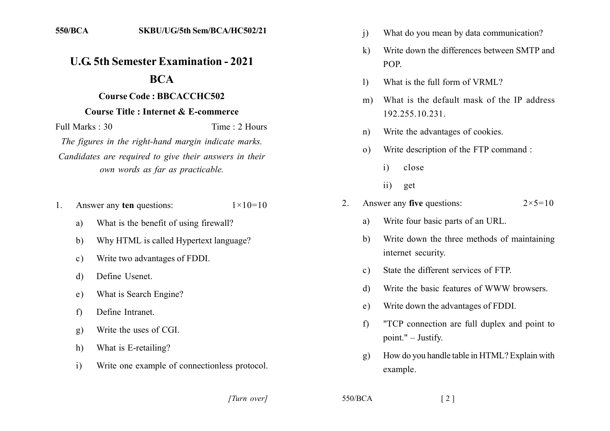## **U.G. 5th Semester Examination - 2021**

## **BCA**

## **Course Code: BBCACCHC502**

## **Course Title : Internet & E-commerce**

Full Marks  $\cdot$  30 Time: 2 Hours

The figures in the right-hand margin indicate marks. Candidates are required to give their answers in their own words as far as practicable.

- Answer any ten questions:  $1 \times 10 = 10$  $1_{-}$ 
	- What is the benefit of using firewall? a)
	- $b)$ Why HTML is called Hypertext language?
	- Write two advantages of FDDI.  $c)$
	- Define Usenet. d)
	- What is Search Engine?  $e)$
	- Define Intranet  $f$
	- Write the uses of CGI.  $g)$
	- What is E-retailing? h)
	- $\mathbf{i}$ Write one example of connectionless protocol.
- $\overline{1}$ What do you mean by data communication?
- Write down the differences between SMTP and  $\bf k$ POP.
- What is the full form of VRML?  $\left| \right\rangle$
- What is the default mask of the IP address  $m)$ 192.255.10.231.
- Write the advantages of cookies.  $n)$
- Write description of the FTP command :  $\Omega$ )
	- close  $\mathbf{i}$
	- $\overline{11}$ get
- Answer any five questions:  $2^{\circ}$  $2 \times 5 = 10$ 
	- Write four basic parts of an URL. a)
	- Write down the three methods of maintaining  $h)$ internet security.
	- State the different services of FTP  $c)$
	- Write the basic features of WWW browsers  $\mathbf{d}$
	- Write down the advantages of FDDI.  $e)$
	- "TCP connection are full duplex and point to  $f$ point."  $-$  Justify.
	- How do you handle table in HTML? Explain with  $\mathbf{g}$ ) example.

[Turn over]

 $550/BCA$